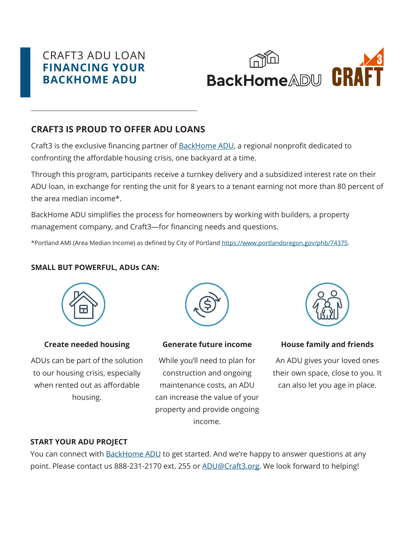# CRAFT3 ADU LOAN **FINANCING YOUR BACKHOME ADU**

# **CRAFT3 IS PROUD TO OFFER ADU LOANS**

Craft3 is the exclusive financing partner of **BackHome ADU**, a regional nonprofit dedicated to confronting the affordable housing crisis, one backyard at a time.

Through this program, participants receive a turnkey delivery and a subsidized interest rate on their ADU loan, in exchange for renting the unit for 8 years to a tenant earning not more than 80 percent of the area median income\*.

BackHome ADU simplifies the process for homeowners by working with builders, a property management company, and Craft3—for financing needs and questions.

\*Portland AMI (Area Median Income) as defined by City of Portland https://www.portlandoregon.gov/phb/74375.

# **SMALL BUT POWERFUL, ADUs CAN:**



# **Create needed housing**

ADUs can be part of the solution to our housing crisis, especially when rented out as affordable housing.



#### **Generate future income**

While you'll need to plan for construction and ongoing maintenance costs, an ADU can increase the value of your property and provide ongoing income.



# **House family and friends**

An ADU gives your loved ones their own space, close to you. It can also let you age in place.

#### **START YOUR ADU PROJECT**

You can connect with BackHome ADU to get started. And we're happy to answer questions at any point. Please contact us 888-231-2170 ext. 255 or ADU@Craft3.org. We look forward to helping!